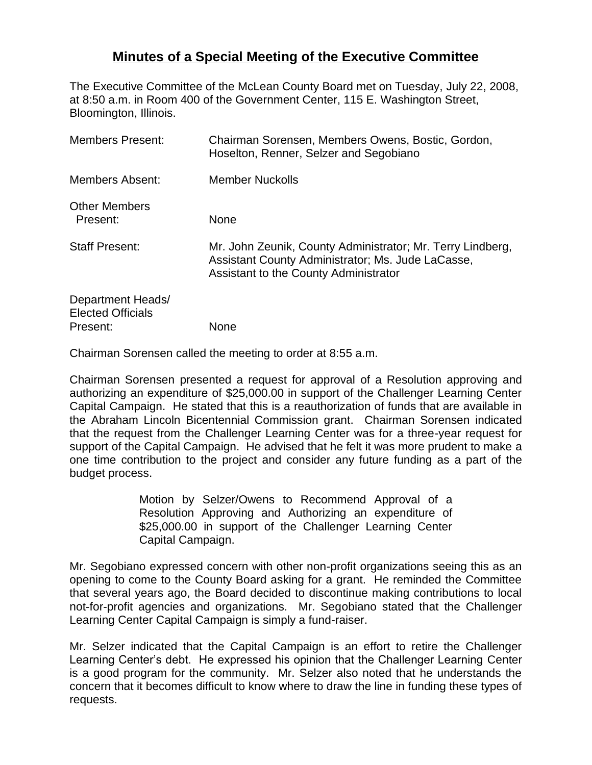## **Minutes of a Special Meeting of the Executive Committee**

The Executive Committee of the McLean County Board met on Tuesday, July 22, 2008, at 8:50 a.m. in Room 400 of the Government Center, 115 E. Washington Street, Bloomington, Illinois.

| <b>Members Present:</b>                                   | Chairman Sorensen, Members Owens, Bostic, Gordon,<br>Hoselton, Renner, Selzer and Segobiano                                                              |
|-----------------------------------------------------------|----------------------------------------------------------------------------------------------------------------------------------------------------------|
| <b>Members Absent:</b>                                    | Member Nuckolls                                                                                                                                          |
| <b>Other Members</b><br>Present:                          | <b>None</b>                                                                                                                                              |
| <b>Staff Present:</b>                                     | Mr. John Zeunik, County Administrator; Mr. Terry Lindberg,<br>Assistant County Administrator; Ms. Jude LaCasse,<br>Assistant to the County Administrator |
| Department Heads/<br><b>Elected Officials</b><br>Present: | None                                                                                                                                                     |

Chairman Sorensen called the meeting to order at 8:55 a.m.

Chairman Sorensen presented a request for approval of a Resolution approving and authorizing an expenditure of \$25,000.00 in support of the Challenger Learning Center Capital Campaign. He stated that this is a reauthorization of funds that are available in the Abraham Lincoln Bicentennial Commission grant. Chairman Sorensen indicated that the request from the Challenger Learning Center was for a three-year request for support of the Capital Campaign. He advised that he felt it was more prudent to make a one time contribution to the project and consider any future funding as a part of the budget process.

> Motion by Selzer/Owens to Recommend Approval of a Resolution Approving and Authorizing an expenditure of \$25,000.00 in support of the Challenger Learning Center Capital Campaign.

Mr. Segobiano expressed concern with other non-profit organizations seeing this as an opening to come to the County Board asking for a grant. He reminded the Committee that several years ago, the Board decided to discontinue making contributions to local not-for-profit agencies and organizations. Mr. Segobiano stated that the Challenger Learning Center Capital Campaign is simply a fund-raiser.

Mr. Selzer indicated that the Capital Campaign is an effort to retire the Challenger Learning Center's debt. He expressed his opinion that the Challenger Learning Center is a good program for the community. Mr. Selzer also noted that he understands the concern that it becomes difficult to know where to draw the line in funding these types of requests.